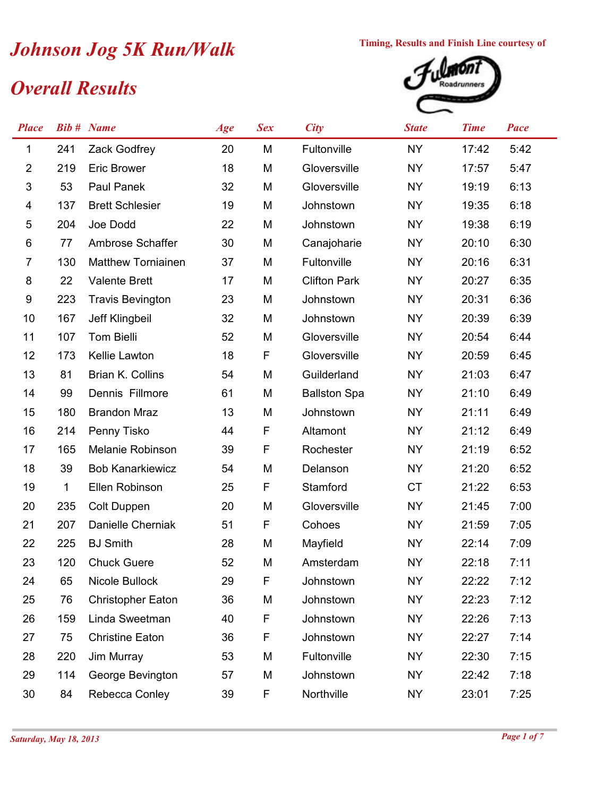## *Johnson Jog 5K Run/Walk* Timing, Results and Finish Line courtesy of<br> *Overall Results*

## *Overall Results*



| <b>Place</b>   |     | <b>Bib #</b> Name         | Age | <b>Sex</b> | <b>City</b>         | <b>State</b> | <b>Time</b> | Pace |
|----------------|-----|---------------------------|-----|------------|---------------------|--------------|-------------|------|
| 1              | 241 | Zack Godfrey              | 20  | M          | Fultonville         | <b>NY</b>    | 17:42       | 5:42 |
| $\overline{2}$ | 219 | <b>Eric Brower</b>        | 18  | M          | Gloversville        | <b>NY</b>    | 17:57       | 5:47 |
| 3              | 53  | Paul Panek                | 32  | M          | Gloversville        | <b>NY</b>    | 19:19       | 6:13 |
| 4              | 137 | <b>Brett Schlesier</b>    | 19  | M          | Johnstown           | <b>NY</b>    | 19:35       | 6:18 |
| 5              | 204 | Joe Dodd                  | 22  | M          | Johnstown           | <b>NY</b>    | 19:38       | 6:19 |
| 6              | 77  | Ambrose Schaffer          | 30  | M          | Canajoharie         | <b>NY</b>    | 20:10       | 6:30 |
| 7              | 130 | <b>Matthew Torniainen</b> | 37  | M          | Fultonville         | <b>NY</b>    | 20:16       | 6:31 |
| 8              | 22  | <b>Valente Brett</b>      | 17  | M          | <b>Clifton Park</b> | <b>NY</b>    | 20:27       | 6:35 |
| 9              | 223 | <b>Travis Bevington</b>   | 23  | M          | Johnstown           | <b>NY</b>    | 20:31       | 6:36 |
| 10             | 167 | Jeff Klingbeil            | 32  | M          | Johnstown           | <b>NY</b>    | 20:39       | 6:39 |
| 11             | 107 | Tom Bielli                | 52  | M          | Gloversville        | <b>NY</b>    | 20:54       | 6:44 |
| 12             | 173 | Kellie Lawton             | 18  | F          | Gloversville        | <b>NY</b>    | 20:59       | 6:45 |
| 13             | 81  | Brian K. Collins          | 54  | M          | Guilderland         | <b>NY</b>    | 21:03       | 6:47 |
| 14             | 99  | Dennis Fillmore           | 61  | M          | <b>Ballston Spa</b> | <b>NY</b>    | 21:10       | 6:49 |
| 15             | 180 | <b>Brandon Mraz</b>       | 13  | M          | Johnstown           | <b>NY</b>    | 21:11       | 6:49 |
| 16             | 214 | Penny Tisko               | 44  | F          | Altamont            | <b>NY</b>    | 21:12       | 6:49 |
| 17             | 165 | Melanie Robinson          | 39  | F          | Rochester           | <b>NY</b>    | 21:19       | 6:52 |
| 18             | 39  | <b>Bob Kanarkiewicz</b>   | 54  | M          | Delanson            | <b>NY</b>    | 21:20       | 6:52 |
| 19             | 1   | Ellen Robinson            | 25  | F          | Stamford            | <b>CT</b>    | 21:22       | 6:53 |
| 20             | 235 | Colt Duppen               | 20  | M          | Gloversville        | <b>NY</b>    | 21:45       | 7:00 |
| 21             | 207 | Danielle Cherniak         | 51  | F          | Cohoes              | <b>NY</b>    | 21:59       | 7:05 |
| 22             | 225 | <b>BJ</b> Smith           | 28  | M          | Mayfield            | <b>NY</b>    | 22:14       | 7:09 |
| 23             | 120 | <b>Chuck Guere</b>        | 52  | M          | Amsterdam           | NY.          | 22:18       | 7:11 |
| 24             | 65  | Nicole Bullock            | 29  | F          | Johnstown           | <b>NY</b>    | 22:22       | 7:12 |
| 25             | 76  | <b>Christopher Eaton</b>  | 36  | M          | Johnstown           | <b>NY</b>    | 22:23       | 7:12 |
| 26             | 159 | Linda Sweetman            | 40  | F          | Johnstown           | <b>NY</b>    | 22:26       | 7:13 |
| 27             | 75  | <b>Christine Eaton</b>    | 36  | F          | Johnstown           | <b>NY</b>    | 22:27       | 7:14 |
| 28             | 220 | Jim Murray                | 53  | M          | Fultonville         | NY.          | 22:30       | 7:15 |
| 29             | 114 | George Bevington          | 57  | M          | Johnstown           | <b>NY</b>    | 22:42       | 7:18 |
| 30             | 84  | Rebecca Conley            | 39  | F          | Northville          | NY.          | 23:01       | 7:25 |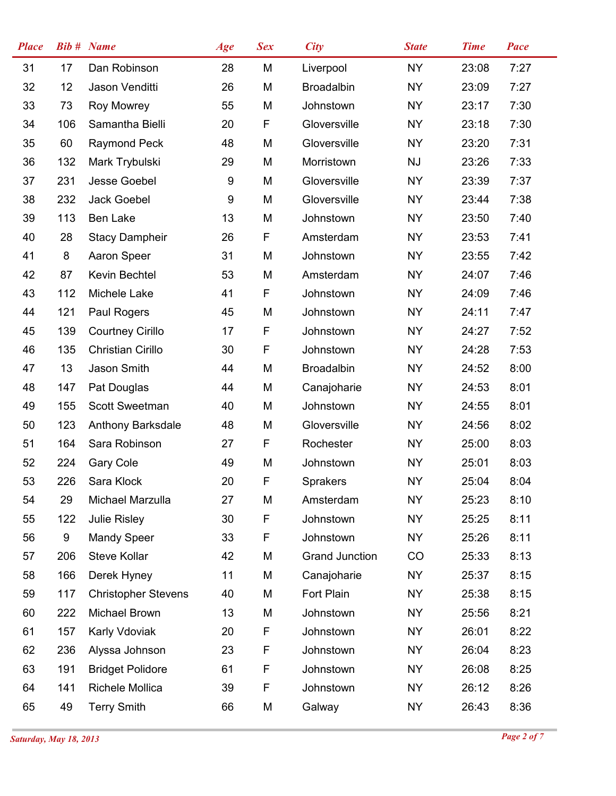| <b>Place</b> |     | <b>Bib #</b> Name          | Age | <b>Sex</b> | <b>City</b>           | <b>State</b> | <b>Time</b> | <b>Pace</b> |
|--------------|-----|----------------------------|-----|------------|-----------------------|--------------|-------------|-------------|
| 31           | 17  | Dan Robinson               | 28  | M          | Liverpool             | <b>NY</b>    | 23:08       | 7:27        |
| 32           | 12  | Jason Venditti             | 26  | M          | <b>Broadalbin</b>     | <b>NY</b>    | 23:09       | 7:27        |
| 33           | 73  | <b>Roy Mowrey</b>          | 55  | M          | Johnstown             | <b>NY</b>    | 23:17       | 7:30        |
| 34           | 106 | Samantha Bielli            | 20  | F          | Gloversville          | <b>NY</b>    | 23:18       | 7:30        |
| 35           | 60  | <b>Raymond Peck</b>        | 48  | M          | Gloversville          | <b>NY</b>    | 23:20       | 7:31        |
| 36           | 132 | Mark Trybulski             | 29  | M          | Morristown            | <b>NJ</b>    | 23:26       | 7:33        |
| 37           | 231 | <b>Jesse Goebel</b>        | 9   | M          | Gloversville          | <b>NY</b>    | 23:39       | 7:37        |
| 38           | 232 | Jack Goebel                | 9   | M          | Gloversville          | <b>NY</b>    | 23:44       | 7:38        |
| 39           | 113 | Ben Lake                   | 13  | M          | Johnstown             | <b>NY</b>    | 23:50       | 7:40        |
| 40           | 28  | <b>Stacy Dampheir</b>      | 26  | F          | Amsterdam             | <b>NY</b>    | 23:53       | 7:41        |
| 41           | 8   | Aaron Speer                | 31  | M          | Johnstown             | <b>NY</b>    | 23:55       | 7:42        |
| 42           | 87  | Kevin Bechtel              | 53  | M          | Amsterdam             | <b>NY</b>    | 24:07       | 7:46        |
| 43           | 112 | Michele Lake               | 41  | F          | Johnstown             | <b>NY</b>    | 24:09       | 7:46        |
| 44           | 121 | Paul Rogers                | 45  | M          | Johnstown             | <b>NY</b>    | 24:11       | 7:47        |
| 45           | 139 | <b>Courtney Cirillo</b>    | 17  | F          | Johnstown             | <b>NY</b>    | 24:27       | 7:52        |
| 46           | 135 | <b>Christian Cirillo</b>   | 30  | F          | Johnstown             | <b>NY</b>    | 24:28       | 7:53        |
| 47           | 13  | Jason Smith                | 44  | M          | <b>Broadalbin</b>     | <b>NY</b>    | 24:52       | 8:00        |
| 48           | 147 | Pat Douglas                | 44  | M          | Canajoharie           | <b>NY</b>    | 24:53       | 8:01        |
| 49           | 155 | <b>Scott Sweetman</b>      | 40  | M          | Johnstown             | <b>NY</b>    | 24:55       | 8:01        |
| 50           | 123 | Anthony Barksdale          | 48  | M          | Gloversville          | <b>NY</b>    | 24:56       | 8:02        |
| 51           | 164 | Sara Robinson              | 27  | F          | Rochester             | <b>NY</b>    | 25:00       | 8:03        |
| 52           | 224 | <b>Gary Cole</b>           | 49  | M          | Johnstown             | <b>NY</b>    | 25:01       | 8:03        |
| 53           | 226 | Sara Klock                 | 20  | F          | <b>Sprakers</b>       | <b>NY</b>    | 25:04       | 8:04        |
| 54           | 29  | Michael Marzulla           | 27  | M          | Amsterdam             | <b>NY</b>    | 25:23       | 8:10        |
| 55           | 122 | <b>Julie Risley</b>        | 30  | F          | Johnstown             | <b>NY</b>    | 25:25       | 8:11        |
| 56           | 9   | <b>Mandy Speer</b>         | 33  | F          | Johnstown             | <b>NY</b>    | 25:26       | 8:11        |
| 57           | 206 | Steve Kollar               | 42  | M          | <b>Grand Junction</b> | CO           | 25:33       | 8:13        |
| 58           | 166 | Derek Hyney                | 11  | M          | Canajoharie           | <b>NY</b>    | 25:37       | 8:15        |
| 59           | 117 | <b>Christopher Stevens</b> | 40  | M          | Fort Plain            | <b>NY</b>    | 25:38       | 8:15        |
| 60           | 222 | Michael Brown              | 13  | M          | Johnstown             | <b>NY</b>    | 25:56       | 8:21        |
| 61           | 157 | Karly Vdoviak              | 20  | F          | Johnstown             | NY           | 26:01       | 8:22        |
| 62           | 236 | Alyssa Johnson             | 23  | F          | Johnstown             | <b>NY</b>    | 26:04       | 8:23        |
| 63           | 191 | <b>Bridget Polidore</b>    | 61  | F          | Johnstown             | <b>NY</b>    | 26:08       | 8:25        |
| 64           | 141 | Richele Mollica            | 39  | F          | Johnstown             | <b>NY</b>    | 26:12       | 8:26        |
| 65           | 49  | <b>Terry Smith</b>         | 66  | M          | Galway                | NY           | 26:43       | 8:36        |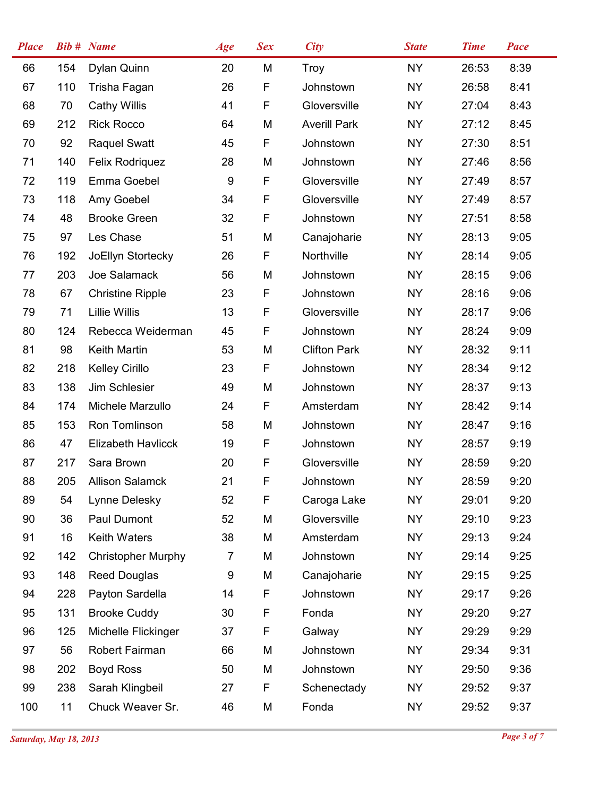| <b>Place</b> |     | <b>Bib #</b> Name         | Age              | <b>Sex</b>  | <b>City</b>         | <b>State</b> | <b>Time</b> | <b>Pace</b> |
|--------------|-----|---------------------------|------------------|-------------|---------------------|--------------|-------------|-------------|
| 66           | 154 | Dylan Quinn               | 20               | M           | Troy                | <b>NY</b>    | 26:53       | 8:39        |
| 67           | 110 | Trisha Fagan              | 26               | F           | Johnstown           | <b>NY</b>    | 26:58       | 8:41        |
| 68           | 70  | <b>Cathy Willis</b>       | 41               | F           | Gloversville        | <b>NY</b>    | 27:04       | 8:43        |
| 69           | 212 | <b>Rick Rocco</b>         | 64               | M           | <b>Averill Park</b> | <b>NY</b>    | 27:12       | 8:45        |
| 70           | 92  | <b>Raquel Swatt</b>       | 45               | F           | Johnstown           | <b>NY</b>    | 27:30       | 8:51        |
| 71           | 140 | Felix Rodriquez           | 28               | M           | Johnstown           | <b>NY</b>    | 27:46       | 8:56        |
| 72           | 119 | Emma Goebel               | $\boldsymbol{9}$ | F           | Gloversville        | <b>NY</b>    | 27:49       | 8:57        |
| 73           | 118 | Amy Goebel                | 34               | F           | Gloversville        | <b>NY</b>    | 27:49       | 8:57        |
| 74           | 48  | <b>Brooke Green</b>       | 32               | F           | Johnstown           | <b>NY</b>    | 27:51       | 8:58        |
| 75           | 97  | Les Chase                 | 51               | M           | Canajoharie         | <b>NY</b>    | 28:13       | 9:05        |
| 76           | 192 | JoEllyn Stortecky         | 26               | F           | Northville          | <b>NY</b>    | 28:14       | 9:05        |
| 77           | 203 | Joe Salamack              | 56               | M           | Johnstown           | <b>NY</b>    | 28:15       | 9:06        |
| 78           | 67  | <b>Christine Ripple</b>   | 23               | F           | Johnstown           | NY           | 28:16       | 9:06        |
| 79           | 71  | <b>Lillie Willis</b>      | 13               | F           | Gloversville        | <b>NY</b>    | 28:17       | 9:06        |
| 80           | 124 | Rebecca Weiderman         | 45               | F           | Johnstown           | <b>NY</b>    | 28:24       | 9:09        |
| 81           | 98  | Keith Martin              | 53               | M           | <b>Clifton Park</b> | <b>NY</b>    | 28:32       | 9:11        |
| 82           | 218 | <b>Kelley Cirillo</b>     | 23               | F           | Johnstown           | <b>NY</b>    | 28:34       | 9:12        |
| 83           | 138 | Jim Schlesier             | 49               | M           | Johnstown           | <b>NY</b>    | 28:37       | 9:13        |
| 84           | 174 | Michele Marzullo          | 24               | F           | Amsterdam           | <b>NY</b>    | 28:42       | 9:14        |
| 85           | 153 | Ron Tomlinson             | 58               | M           | Johnstown           | <b>NY</b>    | 28:47       | 9:16        |
| 86           | 47  | Elizabeth Havlicck        | 19               | F           | Johnstown           | <b>NY</b>    | 28:57       | 9:19        |
| 87           | 217 | Sara Brown                | 20               | $\mathsf F$ | Gloversville        | <b>NY</b>    | 28:59       | 9:20        |
| 88           | 205 | <b>Allison Salamck</b>    | 21               | F           | Johnstown           | <b>NY</b>    | 28:59       | 9:20        |
| 89           | 54  | Lynne Delesky             | 52               | F           | Caroga Lake         | <b>NY</b>    | 29:01       | 9:20        |
| 90           | 36  | Paul Dumont               | 52               | M           | Gloversville        | <b>NY</b>    | 29:10       | 9:23        |
| 91           | 16  | <b>Keith Waters</b>       | 38               | M           | Amsterdam           | <b>NY</b>    | 29:13       | 9:24        |
| 92           | 142 | <b>Christopher Murphy</b> | $\overline{7}$   | M           | Johnstown           | <b>NY</b>    | 29:14       | 9:25        |
| 93           | 148 | <b>Reed Douglas</b>       | 9                | M           | Canajoharie         | <b>NY</b>    | 29:15       | 9:25        |
| 94           | 228 | Payton Sardella           | 14               | F           | Johnstown           | <b>NY</b>    | 29:17       | 9:26        |
| 95           | 131 | <b>Brooke Cuddy</b>       | 30               | F           | Fonda               | NY.          | 29:20       | 9:27        |
| 96           | 125 | Michelle Flickinger       | 37               | F           | Galway              | <b>NY</b>    | 29:29       | 9:29        |
| 97           | 56  | Robert Fairman            | 66               | M           | Johnstown           | NY.          | 29:34       | 9:31        |
| 98           | 202 | <b>Boyd Ross</b>          | 50               | M           | Johnstown           | NY.          | 29:50       | 9:36        |
| 99           | 238 | Sarah Klingbeil           | 27               | F           | Schenectady         | NY.          | 29:52       | 9:37        |
| 100          | 11  | Chuck Weaver Sr.          | 46               | M           | Fonda               | <b>NY</b>    | 29:52       | 9:37        |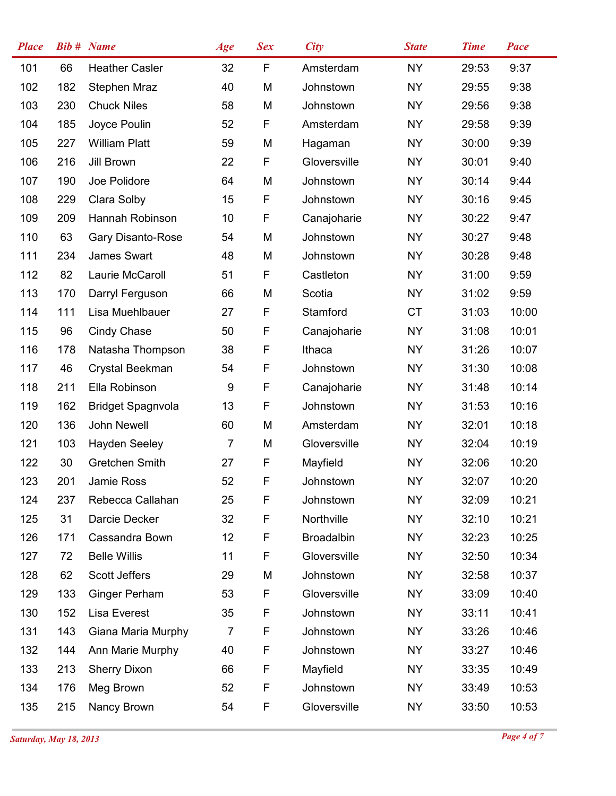| <b>Place</b> |     | <b>Bib # Name</b>        | Age            | <b>Sex</b> | <b>City</b>       | <b>State</b> | <b>Time</b> | <b>Pace</b> |
|--------------|-----|--------------------------|----------------|------------|-------------------|--------------|-------------|-------------|
| 101          | 66  | <b>Heather Casler</b>    | 32             | F          | Amsterdam         | <b>NY</b>    | 29:53       | 9:37        |
| 102          | 182 | Stephen Mraz             | 40             | M          | Johnstown         | <b>NY</b>    | 29:55       | 9:38        |
| 103          | 230 | <b>Chuck Niles</b>       | 58             | M          | Johnstown         | <b>NY</b>    | 29:56       | 9:38        |
| 104          | 185 | Joyce Poulin             | 52             | F          | Amsterdam         | <b>NY</b>    | 29:58       | 9:39        |
| 105          | 227 | <b>William Platt</b>     | 59             | M          | Hagaman           | <b>NY</b>    | 30:00       | 9:39        |
| 106          | 216 | Jill Brown               | 22             | F          | Gloversville      | <b>NY</b>    | 30:01       | 9:40        |
| 107          | 190 | Joe Polidore             | 64             | M          | Johnstown         | <b>NY</b>    | 30:14       | 9:44        |
| 108          | 229 | Clara Solby              | 15             | F          | Johnstown         | <b>NY</b>    | 30:16       | 9:45        |
| 109          | 209 | Hannah Robinson          | 10             | F          | Canajoharie       | <b>NY</b>    | 30:22       | 9:47        |
| 110          | 63  | Gary Disanto-Rose        | 54             | M          | Johnstown         | <b>NY</b>    | 30:27       | 9:48        |
| 111          | 234 | James Swart              | 48             | M          | Johnstown         | <b>NY</b>    | 30:28       | 9:48        |
| 112          | 82  | Laurie McCaroll          | 51             | F          | Castleton         | <b>NY</b>    | 31:00       | 9:59        |
| 113          | 170 | Darryl Ferguson          | 66             | M          | Scotia            | <b>NY</b>    | 31:02       | 9:59        |
| 114          | 111 | Lisa Muehlbauer          | 27             | F          | Stamford          | <b>CT</b>    | 31:03       | 10:00       |
| 115          | 96  | Cindy Chase              | 50             | F          | Canajoharie       | <b>NY</b>    | 31:08       | 10:01       |
| 116          | 178 | Natasha Thompson         | 38             | F          | Ithaca            | <b>NY</b>    | 31:26       | 10:07       |
| 117          | 46  | Crystal Beekman          | 54             | F          | Johnstown         | <b>NY</b>    | 31:30       | 10:08       |
| 118          | 211 | Ella Robinson            | 9              | F          | Canajoharie       | <b>NY</b>    | 31:48       | 10:14       |
| 119          | 162 | <b>Bridget Spagnvola</b> | 13             | F          | Johnstown         | <b>NY</b>    | 31:53       | 10:16       |
| 120          | 136 | John Newell              | 60             | M          | Amsterdam         | <b>NY</b>    | 32:01       | 10:18       |
| 121          | 103 | <b>Hayden Seeley</b>     | $\overline{7}$ | M          | Gloversville      | <b>NY</b>    | 32:04       | 10:19       |
| 122          | 30  | Gretchen Smith           | 27             | F          | Mayfield          | <b>NY</b>    | 32:06       | 10:20       |
| 123          | 201 | Jamie Ross               | 52             | F          | Johnstown         | <b>NY</b>    | 32:07       | 10:20       |
| 124          | 237 | Rebecca Callahan         | 25             | F          | Johnstown         | <b>NY</b>    | 32:09       | 10:21       |
| 125          | 31  | Darcie Decker            | 32             | F          | Northville        | <b>NY</b>    | 32:10       | 10:21       |
| 126          | 171 | Cassandra Bown           | 12             | F          | <b>Broadalbin</b> | <b>NY</b>    | 32:23       | 10:25       |
| 127          | 72  | <b>Belle Willis</b>      | 11             | F          | Gloversville      | <b>NY</b>    | 32:50       | 10:34       |
| 128          | 62  | Scott Jeffers            | 29             | M          | Johnstown         | NY.          | 32:58       | 10:37       |
| 129          | 133 | <b>Ginger Perham</b>     | 53             | F          | Gloversville      | <b>NY</b>    | 33:09       | 10:40       |
| 130          | 152 | Lisa Everest             | 35             | F          | Johnstown         | <b>NY</b>    | 33:11       | 10:41       |
| 131          | 143 | Giana Maria Murphy       | $\overline{7}$ | F          | Johnstown         | <b>NY</b>    | 33:26       | 10:46       |
| 132          | 144 | Ann Marie Murphy         | 40             | F          | Johnstown         | <b>NY</b>    | 33:27       | 10:46       |
| 133          | 213 | <b>Sherry Dixon</b>      | 66             | F          | Mayfield          | <b>NY</b>    | 33:35       | 10:49       |
| 134          | 176 | Meg Brown                | 52             | F          | Johnstown         | <b>NY</b>    | 33:49       | 10:53       |
| 135          | 215 | Nancy Brown              | 54             | F          | Gloversville      | NY           | 33:50       | 10:53       |
|              |     |                          |                |            |                   |              |             |             |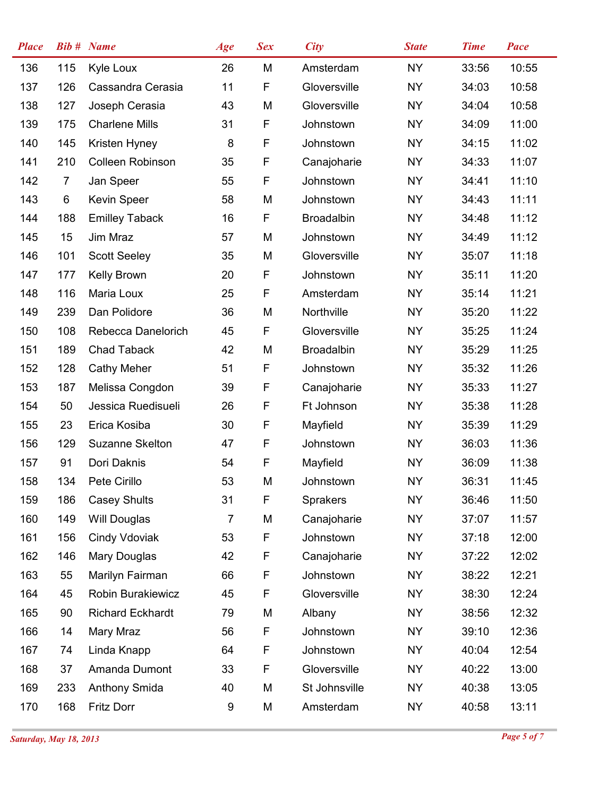| <b>Place</b> |                | <b>Bib #</b> Name       | Age            | <b>Sex</b> | <b>City</b>       | <b>State</b> | <b>Time</b> | Pace  |
|--------------|----------------|-------------------------|----------------|------------|-------------------|--------------|-------------|-------|
| 136          | 115            | Kyle Loux               | 26             | M          | Amsterdam         | <b>NY</b>    | 33:56       | 10:55 |
| 137          | 126            | Cassandra Cerasia       | 11             | F          | Gloversville      | <b>NY</b>    | 34:03       | 10:58 |
| 138          | 127            | Joseph Cerasia          | 43             | M          | Gloversville      | <b>NY</b>    | 34:04       | 10:58 |
| 139          | 175            | <b>Charlene Mills</b>   | 31             | F          | Johnstown         | <b>NY</b>    | 34:09       | 11:00 |
| 140          | 145            | Kristen Hyney           | 8              | F          | Johnstown         | <b>NY</b>    | 34:15       | 11:02 |
| 141          | 210            | <b>Colleen Robinson</b> | 35             | F          | Canajoharie       | <b>NY</b>    | 34:33       | 11:07 |
| 142          | $\overline{7}$ | Jan Speer               | 55             | F          | Johnstown         | <b>NY</b>    | 34:41       | 11:10 |
| 143          | 6              | <b>Kevin Speer</b>      | 58             | M          | Johnstown         | <b>NY</b>    | 34:43       | 11:11 |
| 144          | 188            | <b>Emilley Taback</b>   | 16             | F          | <b>Broadalbin</b> | <b>NY</b>    | 34:48       | 11:12 |
| 145          | 15             | Jim Mraz                | 57             | M          | Johnstown         | <b>NY</b>    | 34:49       | 11:12 |
| 146          | 101            | <b>Scott Seeley</b>     | 35             | M          | Gloversville      | <b>NY</b>    | 35:07       | 11:18 |
| 147          | 177            | Kelly Brown             | 20             | F          | Johnstown         | <b>NY</b>    | 35:11       | 11:20 |
| 148          | 116            | Maria Loux              | 25             | F          | Amsterdam         | <b>NY</b>    | 35:14       | 11:21 |
| 149          | 239            | Dan Polidore            | 36             | M          | Northville        | <b>NY</b>    | 35:20       | 11:22 |
| 150          | 108            | Rebecca Danelorich      | 45             | F          | Gloversville      | <b>NY</b>    | 35:25       | 11:24 |
| 151          | 189            | <b>Chad Taback</b>      | 42             | M          | <b>Broadalbin</b> | <b>NY</b>    | 35:29       | 11:25 |
| 152          | 128            | <b>Cathy Meher</b>      | 51             | F          | Johnstown         | <b>NY</b>    | 35:32       | 11:26 |
| 153          | 187            | Melissa Congdon         | 39             | F          | Canajoharie       | <b>NY</b>    | 35:33       | 11:27 |
| 154          | 50             | Jessica Ruedisueli      | 26             | F          | Ft Johnson        | <b>NY</b>    | 35:38       | 11:28 |
| 155          | 23             | Erica Kosiba            | 30             | F          | Mayfield          | <b>NY</b>    | 35:39       | 11:29 |
| 156          | 129            | <b>Suzanne Skelton</b>  | 47             | F          | Johnstown         | <b>NY</b>    | 36:03       | 11:36 |
| 157          | 91             | Dori Daknis             | 54             | F          | Mayfield          | <b>NY</b>    | 36:09       | 11:38 |
| 158          | 134            | Pete Cirillo            | 53             | M          | Johnstown         | <b>NY</b>    | 36:31       | 11:45 |
| 159          | 186            | <b>Casey Shults</b>     | 31             | F          | <b>Sprakers</b>   | <b>NY</b>    | 36:46       | 11:50 |
| 160          | 149            | Will Douglas            | $\overline{7}$ | M          | Canajoharie       | <b>NY</b>    | 37:07       | 11:57 |
| 161          | 156            | Cindy Vdoviak           | 53             | F          | Johnstown         | <b>NY</b>    | 37:18       | 12:00 |
| 162          | 146            | Mary Douglas            | 42             | F          | Canajoharie       | <b>NY</b>    | 37:22       | 12:02 |
| 163          | 55             | Marilyn Fairman         | 66             | F          | Johnstown         | <b>NY</b>    | 38:22       | 12:21 |
| 164          | 45             | Robin Burakiewicz       | 45             | F          | Gloversville      | <b>NY</b>    | 38:30       | 12:24 |
| 165          | 90             | <b>Richard Eckhardt</b> | 79             | M          | Albany            | <b>NY</b>    | 38:56       | 12:32 |
| 166          | 14             | Mary Mraz               | 56             | F          | Johnstown         | <b>NY</b>    | 39:10       | 12:36 |
| 167          | 74             | Linda Knapp             | 64             | F          | Johnstown         | <b>NY</b>    | 40:04       | 12:54 |
| 168          | 37             | Amanda Dumont           | 33             | F          | Gloversville      | <b>NY</b>    | 40:22       | 13:00 |
| 169          | 233            | <b>Anthony Smida</b>    | 40             | M          | St Johnsville     | <b>NY</b>    | 40:38       | 13:05 |
| 170          | 168            | Fritz Dorr              | 9              | M          | Amsterdam         | NY           | 40:58       | 13:11 |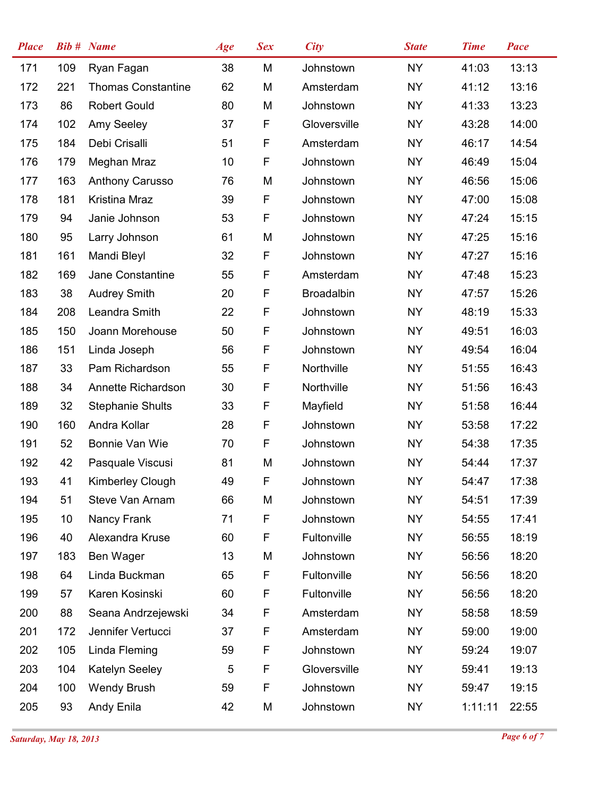| <b>Place</b> |     | <b>Bib # Name</b>         | Age | <b>Sex</b> | <b>City</b>       | <b>State</b> | <b>Time</b> | Pace  |
|--------------|-----|---------------------------|-----|------------|-------------------|--------------|-------------|-------|
| 171          | 109 | Ryan Fagan                | 38  | M          | Johnstown         | <b>NY</b>    | 41:03       | 13:13 |
| 172          | 221 | <b>Thomas Constantine</b> | 62  | M          | Amsterdam         | <b>NY</b>    | 41:12       | 13:16 |
| 173          | 86  | <b>Robert Gould</b>       | 80  | M          | Johnstown         | <b>NY</b>    | 41:33       | 13:23 |
| 174          | 102 | Amy Seeley                | 37  | F          | Gloversville      | <b>NY</b>    | 43:28       | 14:00 |
| 175          | 184 | Debi Crisalli             | 51  | F          | Amsterdam         | <b>NY</b>    | 46:17       | 14:54 |
| 176          | 179 | Meghan Mraz               | 10  | F          | Johnstown         | <b>NY</b>    | 46:49       | 15:04 |
| 177          | 163 | <b>Anthony Carusso</b>    | 76  | M          | Johnstown         | <b>NY</b>    | 46:56       | 15:06 |
| 178          | 181 | Kristina Mraz             | 39  | F          | Johnstown         | <b>NY</b>    | 47:00       | 15:08 |
| 179          | 94  | Janie Johnson             | 53  | F          | Johnstown         | <b>NY</b>    | 47:24       | 15:15 |
| 180          | 95  | Larry Johnson             | 61  | M          | Johnstown         | <b>NY</b>    | 47:25       | 15:16 |
| 181          | 161 | Mandi Bleyl               | 32  | F          | Johnstown         | <b>NY</b>    | 47:27       | 15:16 |
| 182          | 169 | Jane Constantine          | 55  | F          | Amsterdam         | <b>NY</b>    | 47:48       | 15:23 |
| 183          | 38  | <b>Audrey Smith</b>       | 20  | F          | <b>Broadalbin</b> | <b>NY</b>    | 47:57       | 15:26 |
| 184          | 208 | Leandra Smith             | 22  | F          | Johnstown         | <b>NY</b>    | 48:19       | 15:33 |
| 185          | 150 | Joann Morehouse           | 50  | F          | Johnstown         | <b>NY</b>    | 49:51       | 16:03 |
| 186          | 151 | Linda Joseph              | 56  | F          | Johnstown         | <b>NY</b>    | 49:54       | 16:04 |
| 187          | 33  | Pam Richardson            | 55  | F          | Northville        | <b>NY</b>    | 51:55       | 16:43 |
| 188          | 34  | Annette Richardson        | 30  | F          | Northville        | <b>NY</b>    | 51:56       | 16:43 |
| 189          | 32  | <b>Stephanie Shults</b>   | 33  | F          | Mayfield          | <b>NY</b>    | 51:58       | 16:44 |
| 190          | 160 | Andra Kollar              | 28  | F          | Johnstown         | <b>NY</b>    | 53:58       | 17:22 |
| 191          | 52  | Bonnie Van Wie            | 70  | F          | Johnstown         | <b>NY</b>    | 54:38       | 17:35 |
| 192          | 42  | Pasquale Viscusi          | 81  | M          | Johnstown         | <b>NY</b>    | 54:44       | 17:37 |
| 193          | 41  | <b>Kimberley Clough</b>   | 49  | F          | Johnstown         | <b>NY</b>    | 54:47       | 17:38 |
| 194          | 51  | Steve Van Arnam           | 66  | M          | Johnstown         | <b>NY</b>    | 54:51       | 17:39 |
| 195          | 10  | Nancy Frank               | 71  | F          | Johnstown         | <b>NY</b>    | 54:55       | 17:41 |
| 196          | 40  | Alexandra Kruse           | 60  | F          | Fultonville       | <b>NY</b>    | 56:55       | 18:19 |
| 197          | 183 | Ben Wager                 | 13  | M          | Johnstown         | <b>NY</b>    | 56:56       | 18:20 |
| 198          | 64  | Linda Buckman             | 65  | F          | Fultonville       | <b>NY</b>    | 56:56       | 18:20 |
| 199          | 57  | Karen Kosinski            | 60  | F          | Fultonville       | <b>NY</b>    | 56:56       | 18:20 |
| 200          | 88  | Seana Andrzejewski        | 34  | F          | Amsterdam         | <b>NY</b>    | 58:58       | 18:59 |
| 201          | 172 | Jennifer Vertucci         | 37  | F          | Amsterdam         | NY           | 59:00       | 19:00 |
| 202          | 105 | Linda Fleming             | 59  | F          | Johnstown         | <b>NY</b>    | 59:24       | 19:07 |
| 203          | 104 | Katelyn Seeley            | 5   | F          | Gloversville      | <b>NY</b>    | 59:41       | 19:13 |
| 204          | 100 | <b>Wendy Brush</b>        | 59  | F          | Johnstown         | <b>NY</b>    | 59:47       | 19:15 |
| 205          | 93  | Andy Enila                | 42  | M          | Johnstown         | <b>NY</b>    | 1:11:11     | 22:55 |